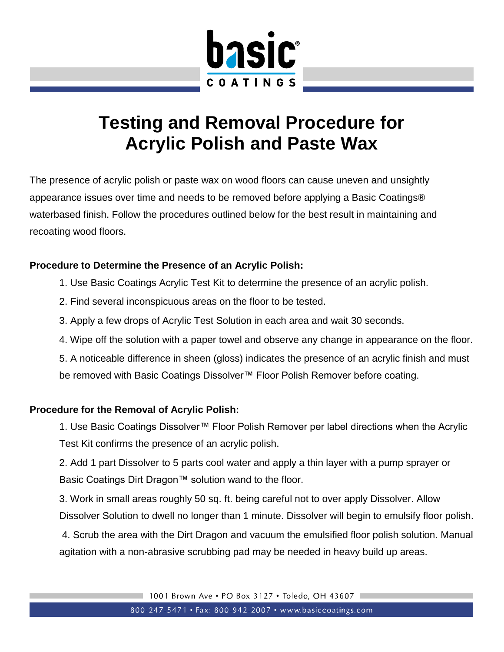

## **Testing and Removal Procedure for Acrylic Polish and Paste Wax**

The presence of acrylic polish or paste wax on wood floors can cause uneven and unsightly appearance issues over time and needs to be removed before applying a Basic Coatings® waterbased finish. Follow the procedures outlined below for the best result in maintaining and recoating wood floors.

## **Procedure to Determine the Presence of an Acrylic Polish:**

- 1. Use Basic Coatings Acrylic Test Kit to determine the presence of an acrylic polish.
- 2. Find several inconspicuous areas on the floor to be tested.
- 3. Apply a few drops of Acrylic Test Solution in each area and wait 30 seconds.
- 4. Wipe off the solution with a paper towel and observe any change in appearance on the floor.

5. A noticeable difference in sheen (gloss) indicates the presence of an acrylic finish and must be removed with Basic Coatings Dissolver™ Floor Polish Remover before coating.

## **Procedure for the Removal of Acrylic Polish:**

1. Use Basic Coatings Dissolver™ Floor Polish Remover per label directions when the Acrylic Test Kit confirms the presence of an acrylic polish.

2. Add 1 part Dissolver to 5 parts cool water and apply a thin layer with a pump sprayer or Basic Coatings Dirt Dragon™ solution wand to the floor.

3. Work in small areas roughly 50 sq. ft. being careful not to over apply Dissolver. Allow Dissolver Solution to dwell no longer than 1 minute. Dissolver will begin to emulsify floor polish.

4. Scrub the area with the Dirt Dragon and vacuum the emulsified floor polish solution. Manual agitation with a non-abrasive scrubbing pad may be needed in heavy build up areas.

1001 Brown Ave . PO Box 3127 . Toledo, OH 43607

800-247-5471 • Fax: 800-942-2007 • www.basiccoatings.com